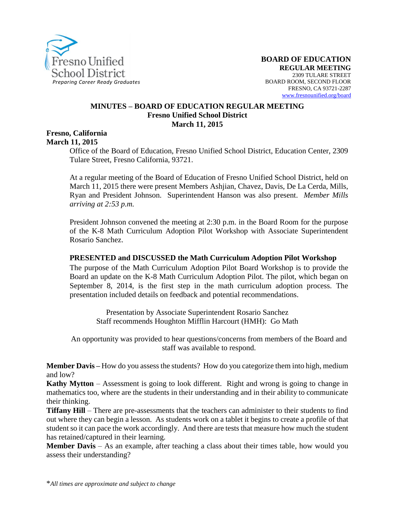

#### **MINUTES – BOARD OF EDUCATION REGULAR MEETING Fresno Unified School District March 11, 2015**

#### **Fresno, California March 11, 2015**

Office of the Board of Education, Fresno Unified School District, Education Center, 2309 Tulare Street, Fresno California, 93721.

At a regular meeting of the Board of Education of Fresno Unified School District, held on March 11, 2015 there were present Members Ashjian, Chavez, Davis, De La Cerda, Mills, Ryan and President Johnson. Superintendent Hanson was also present. *Member Mills arriving at 2:53 p.m.*

President Johnson convened the meeting at 2:30 p.m. in the Board Room for the purpose of the K-8 Math Curriculum Adoption Pilot Workshop with Associate Superintendent Rosario Sanchez.

#### **PRESENTED and DISCUSSED the Math Curriculum Adoption Pilot Workshop**

The purpose of the Math Curriculum Adoption Pilot Board Workshop is to provide the Board an update on the K-8 Math Curriculum Adoption Pilot. The pilot, which began on September 8, 2014, is the first step in the math curriculum adoption process. The presentation included details on feedback and potential recommendations.

Presentation by Associate Superintendent Rosario Sanchez Staff recommends Houghton Mifflin Harcourt (HMH): Go Math

An opportunity was provided to hear questions/concerns from members of the Board and staff was available to respond.

**Member Davis –** How do you assess the students? How do you categorize them into high, medium and low?

**Kathy Mytton** – Assessment is going to look different. Right and wrong is going to change in mathematics too, where are the students in their understanding and in their ability to communicate their thinking.

**Tiffany Hill** – There are pre-assessments that the teachers can administer to their students to find out where they can begin a lesson. As students work on a tablet it begins to create a profile of that student so it can pace the work accordingly. And there are tests that measure how much the student has retained/captured in their learning.

**Member Davis** – As an example, after teaching a class about their times table, how would you assess their understanding?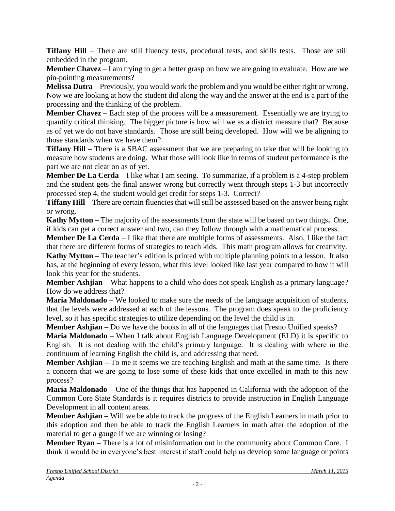**Tiffany Hill** – There are still fluency tests, procedural tests, and skills tests. Those are still embedded in the program.

**Member Chavez** – I am trying to get a better grasp on how we are going to evaluate. How are we pin-pointing measurements?

**Melissa Dutra** – Previously, you would work the problem and you would be either right or wrong. Now we are looking at how the student did along the way and the answer at the end is a part of the processing and the thinking of the problem.

**Member Chavez** – Each step of the process will be a measurement. Essentially we are trying to quantify critical thinking. The bigger picture is how will we as a district measure that? Because as of yet we do not have standards. Those are still being developed. How will we be aligning to those standards when we have them?

**Tiffany Hill –** There is a SBAC assessment that we are preparing to take that will be looking to measure how students are doing. What those will look like in terms of student performance is the part we are not clear on as of yet.

**Member De La Cerda** – I like what I am seeing. To summarize, if a problem is a 4-step problem and the student gets the final answer wrong but correctly went through steps 1-3 but incorrectly processed step 4, the student would get credit for steps 1-3. Correct?

**Tiffany Hill** – There are certain fluencies that will still be assessed based on the answer being right or wrong.

**Kathy Mytton –** The majority of the assessments from the state will be based on two things**.** One, if kids can get a correct answer and two, can they follow through with a mathematical process.

**Member De La Cerda** – I like that there are multiple forms of assessments. Also, I like the fact that there are different forms of strategies to teach kids. This math program allows for creativity.

**Kathy Mytton –** The teacher's edition is printed with multiple planning points to a lesson. It also has, at the beginning of every lesson, what this level looked like last year compared to how it will look this year for the students.

**Member Ashjian** – What happens to a child who does not speak English as a primary language? How do we address that?

**Maria Maldonado** – We looked to make sure the needs of the language acquisition of students, that the levels were addressed at each of the lessons. The program does speak to the proficiency level, so it has specific strategies to utilize depending on the level the child is in.

**Member Ashjian –** Do we have the books in all of the languages that Fresno Unified speaks?

**Maria Maldonado** – When I talk about English Language Development (ELD) it is specific to English. It is not dealing with the child's primary language. It is dealing with where in the continuum of learning English the child is, and addressing that need.

**Member Ashjian –** To me it seems we are teaching English and math at the same time. Is there a concern that we are going to lose some of these kids that once excelled in math to this new process?

**Maria Maldonado –** One of the things that has happened in California with the adoption of the Common Core State Standards is it requires districts to provide instruction in English Language Development in all content areas.

**Member Ashjian –** Will we be able to track the progress of the English Learners in math prior to this adoption and then be able to track the English Learners in math after the adoption of the material to get a gauge if we are winning or losing?

**Member Ryan** – There is a lot of misinformation out in the community about Common Core. I think it would be in everyone's best interest if staff could help us develop some language or points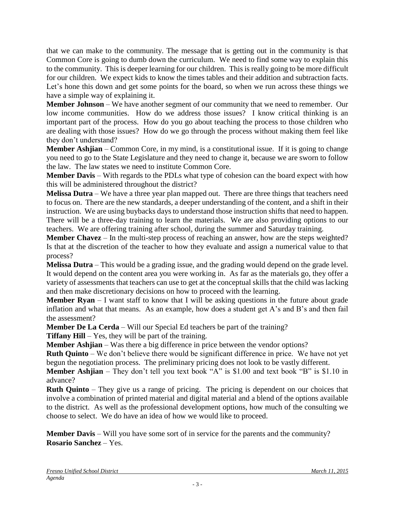that we can make to the community. The message that is getting out in the community is that Common Core is going to dumb down the curriculum. We need to find some way to explain this to the community. This is deeper learning for our children. This is really going to be more difficult for our children. We expect kids to know the times tables and their addition and subtraction facts. Let's hone this down and get some points for the board, so when we run across these things we have a simple way of explaining it.

**Member Johnson** – We have another segment of our community that we need to remember. Our low income communities. How do we address those issues? I know critical thinking is an important part of the process. How do you go about teaching the process to those children who are dealing with those issues? How do we go through the process without making them feel like they don't understand?

**Member Ashjian** – Common Core, in my mind, is a constitutional issue. If it is going to change you need to go to the State Legislature and they need to change it, because we are sworn to follow the law. The law states we need to institute Common Core.

**Member Davis** – With regards to the PDLs what type of cohesion can the board expect with how this will be administered throughout the district?

**Melissa Dutra** – We have a three year plan mapped out. There are three things that teachers need to focus on. There are the new standards, a deeper understanding of the content, and a shift in their instruction. We are using buybacks days to understand those instruction shifts that need to happen. There will be a three-day training to learn the materials. We are also providing options to our teachers. We are offering training after school, during the summer and Saturday training.

**Member Chavez** – In the multi-step process of reaching an answer, how are the steps weighted? Is that at the discretion of the teacher to how they evaluate and assign a numerical value to that process?

**Melissa Dutra** – This would be a grading issue, and the grading would depend on the grade level. It would depend on the content area you were working in. As far as the materials go, they offer a variety of assessments that teachers can use to get at the conceptual skills that the child was lacking and then make discretionary decisions on how to proceed with the learning.

**Member Ryan** – I want staff to know that I will be asking questions in the future about grade inflation and what that means. As an example, how does a student get A's and B's and then fail the assessment?

**Member De La Cerda** – Will our Special Ed teachers be part of the training?

**Tiffany Hill** – Yes, they will be part of the training.

**Member Ashjian** – Was there a big difference in price between the vendor options?

**Ruth Quinto** – We don't believe there would be significant difference in price. We have not yet begun the negotiation process. The preliminary pricing does not look to be vastly different.

**Member Ashjian** – They don't tell you text book "A" is \$1.00 and text book "B" is \$1.10 in advance?

**Ruth Quinto** – They give us a range of pricing. The pricing is dependent on our choices that involve a combination of printed material and digital material and a blend of the options available to the district. As well as the professional development options, how much of the consulting we choose to select. We do have an idea of how we would like to proceed.

**Member Davis** – Will you have some sort of in service for the parents and the community? **Rosario Sanchez** – Yes.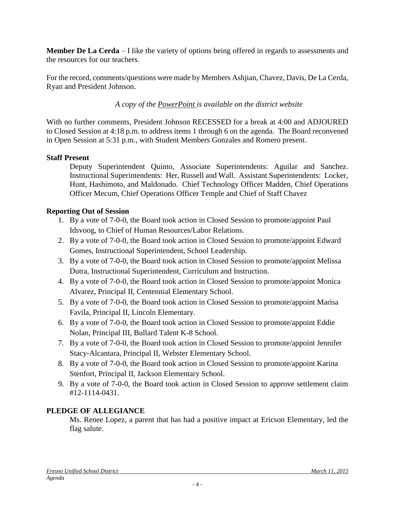**Member De La Cerda** – I like the variety of options being offered in regards to assessments and the resources for our teachers.

For the record, comments/questions were made by Members Ashjian, Chavez, Davis, De La Cerda, Ryan and President Johnson.

*A copy of the PowerPoint is available on the district website*

With no further comments, President Johnson RECESSED for a break at 4:00 and ADJOURED to Closed Session at 4:18 p.m. to address items 1 through 6 on the agenda. The Board reconvened in Open Session at 5:31 p.m., with Student Members Gonzales and Romero present.

# **Staff Present**

Deputy Superintendent Quinto, Associate Superintendents: Aguilar and Sanchez. Instructional Superintendents: Her, Russell and Wall. Assistant Superintendents: Locker, Hunt, Hashimoto, and Maldonado. Chief Technology Officer Madden, Chief Operations Officer Mecum, Chief Operations Officer Temple and Chief of Staff Chavez

# **Reporting Out of Session**

- 1. By a vote of 7-0-0, the Board took action in Closed Session to promote/appoint Paul Idsvoog, to Chief of Human Resources/Labor Relations.
- 2. By a vote of 7-0-0, the Board took action in Closed Session to promote/appoint Edward Gomes, Instructional Superintendent, School Leadership.
- 3. By a vote of 7-0-0, the Board took action in Closed Session to promote/appoint Melissa Dutra, Instructional Superintendent, Curriculum and Instruction.
- 4. By a vote of 7-0-0, the Board took action in Closed Session to promote/appoint Monica Alvarez, Principal II, Centennial Elementary School.
- 5. By a vote of 7-0-0, the Board took action in Closed Session to promote/appoint Marisa Favila, Principal II, Lincoln Elementary.
- 6. By a vote of 7-0-0, the Board took action in Closed Session to promote/appoint Eddie Nolan, Principal III, Bullard Talent K-8 School.
- 7. By a vote of 7-0-0, the Board took action in Closed Session to promote/appoint Jennifer Stacy-Alcantara, Principal II, Webster Elementary School.
- 8. By a vote of 7-0-0, the Board took action in Closed Session to promote/appoint Karina Stenfort, Principal II, Jackson Elementary School.
- 9. By a vote of 7-0-0, the Board took action in Closed Session to approve settlement claim #12-1114-0431.

# **PLEDGE OF ALLEGIANCE**

Ms. Renee Lopez, a parent that has had a positive impact at Ericson Elementary, led the flag salute.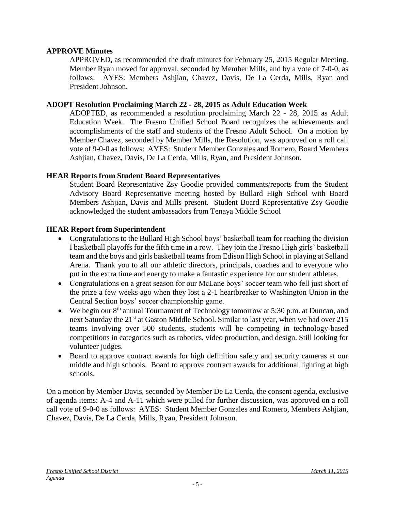#### **APPROVE Minutes**

APPROVED, as recommended the draft minutes for February 25, 2015 Regular Meeting. Member Ryan moved for approval, seconded by Member Mills, and by a vote of 7-0-0, as follows: AYES: Members Ashjian, Chavez, Davis, De La Cerda, Mills, Ryan and President Johnson.

#### **ADOPT Resolution Proclaiming March 22 - 28, 2015 as Adult Education Week**

ADOPTED, as recommended a resolution proclaiming March 22 - 28, 2015 as Adult Education Week. The Fresno Unified School Board recognizes the achievements and accomplishments of the staff and students of the Fresno Adult School. On a motion by Member Chavez, seconded by Member Mills, the Resolution, was approved on a roll call vote of 9-0-0 as follows: AYES: Student Member Gonzales and Romero, Board Members Ashjian, Chavez, Davis, De La Cerda, Mills, Ryan, and President Johnson.

#### **HEAR Reports from Student Board Representatives**

Student Board Representative Zsy Goodie provided comments/reports from the Student Advisory Board Representative meeting hosted by Bullard High School with Board Members Ashjian, Davis and Mills present. Student Board Representative Zsy Goodie acknowledged the student ambassadors from Tenaya Middle School

#### **HEAR Report from Superintendent**

- Congratulations to the Bullard High School boys' basketball team for reaching the division I basketball playoffs for the fifth time in a row. They join the Fresno High girls' basketball team and the boys and girls basketball teams from Edison High School in playing at Selland Arena. Thank you to all our athletic directors, principals, coaches and to everyone who put in the extra time and energy to make a fantastic experience for our student athletes.
- Congratulations on a great season for our McLane boys' soccer team who fell just short of the prize a few weeks ago when they lost a 2-1 heartbreaker to Washington Union in the Central Section boys' soccer championship game.
- We begin our  $8<sup>th</sup>$  annual Tournament of Technology tomorrow at 5:30 p.m. at Duncan, and next Saturday the 21<sup>st</sup> at Gaston Middle School. Similar to last year, when we had over 215 teams involving over 500 students, students will be competing in technology-based competitions in categories such as robotics, video production, and design. Still looking for volunteer judges.
- Board to approve contract awards for high definition safety and security cameras at our middle and high schools. Board to approve contract awards for additional lighting at high schools.

On a motion by Member Davis, seconded by Member De La Cerda, the consent agenda, exclusive of agenda items: A-4 and A-11 which were pulled for further discussion, was approved on a roll call vote of 9-0-0 as follows: AYES: Student Member Gonzales and Romero, Members Ashjian, Chavez, Davis, De La Cerda, Mills, Ryan, President Johnson.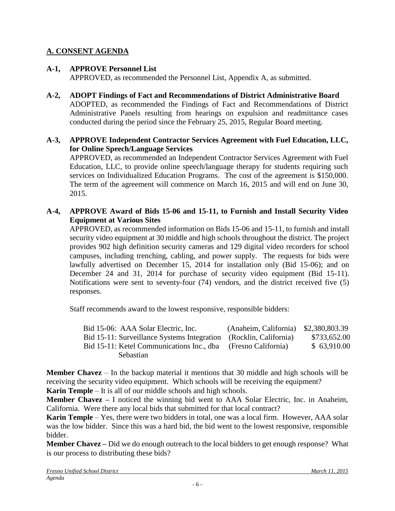## **A. CONSENT AGENDA**

### **A-1, APPROVE Personnel List**

APPROVED, as recommended the Personnel List, Appendix A, as submitted.

- **A-2, ADOPT Findings of Fact and Recommendations of District Administrative Board** ADOPTED, as recommended the Findings of Fact and Recommendations of District Administrative Panels resulting from hearings on expulsion and readmittance cases conducted during the period since the February 25, 2015, Regular Board meeting.
- **A-3, APPROVE Independent Contractor Services Agreement with Fuel Education, LLC, for Online Speech/Language Services**

APPROVED, as recommended an Independent Contractor Services Agreement with Fuel Education, LLC, to provide online speech/language therapy for students requiring such services on Individualized Education Programs. The cost of the agreement is \$150,000. The term of the agreement will commence on March 16, 2015 and will end on June 30, 2015.

**A-4, APPROVE Award of Bids 15-06 and 15-11, to Furnish and Install Security Video Equipment at Various Sites**

APPROVED, as recommended information on Bids 15-06 and 15-11, to furnish and install security video equipment at 30 middle and high schools throughout the district. The project provides 902 high definition security cameras and 129 digital video recorders for school campuses, including trenching, cabling, and power supply. The requests for bids were lawfully advertised on December 15, 2014 for installation only (Bid 15-06); and on December 24 and 31, 2014 for purchase of security video equipment (Bid 15-11). Notifications were sent to seventy-four (74) vendors, and the district received five (5) responses.

Staff recommends award to the lowest responsive, responsible bidders:

| Bid 15-06: AAA Solar Electric, Inc.                               | (Anaheim, California) \$2,380,803.39 |              |
|-------------------------------------------------------------------|--------------------------------------|--------------|
| Bid 15-11: Surveillance Systems Integration (Rocklin, California) |                                      | \$733,652.00 |
| Bid 15-11: Ketel Communications Inc., dba                         | (Fresno California)                  | \$63,910.00  |
| <b>Sebastian</b>                                                  |                                      |              |

**Member Chavez** – In the backup material it mentions that 30 middle and high schools will be receiving the security video equipment. Which schools will be receiving the equipment? **Karin Temple** – It is all of our middle schools and high schools.

**Member Chavez –** I noticed the winning bid went to AAA Solar Electric, Inc. in Anaheim, California. Were there any local bids that submitted for that local contract?

**Karin Temple** – Yes, there were two bidders in total, one was a local firm. However, AAA solar was the low bidder. Since this was a hard bid, the bid went to the lowest responsive, responsible bidder.

**Member Chavez –** Did we do enough outreach to the local bidders to get enough response? What is our process to distributing these bids?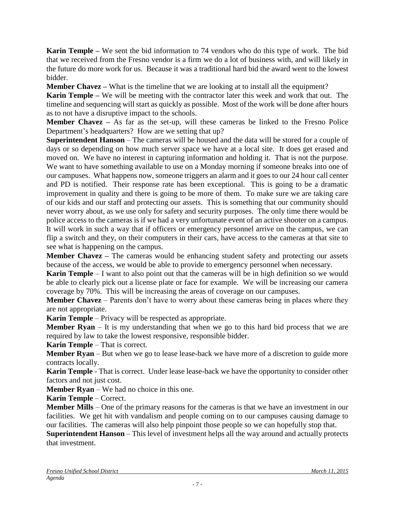**Karin Temple –** We sent the bid information to 74 vendors who do this type of work. The bid that we received from the Fresno vendor is a firm we do a lot of business with, and will likely in the future do more work for us. Because it was a traditional hard bid the award went to the lowest bidder.

**Member Chavez –** What is the timeline that we are looking at to install all the equipment?

**Karin Temple –** We will be meeting with the contractor later this week and work that out. The timeline and sequencing will start as quickly as possible. Most of the work will be done after hours as to not have a disruptive impact to the schools.

**Member Chavez** – As far as the set-up, will these cameras be linked to the Fresno Police Department's headquarters? How are we setting that up?

**Superintendent Hanson** – The cameras will be housed and the data will be stored for a couple of days or so depending on how much server space we have at a local site. It does get erased and moved on. We have no interest in capturing information and holding it. That is not the purpose. We want to have something available to use on a Monday morning if someone breaks into one of our campuses. What happens now, someone triggers an alarm and it goes to our 24 hour call center and PD is notified. Their response rate has been exceptional. This is going to be a dramatic improvement in quality and there is going to be more of them. To make sure we are taking care of our kids and our staff and protecting our assets. This is something that our community should never worry about, as we use only for safety and security purposes. The only time there would be police access to the cameras is if we had a very unfortunate event of an active shooter on a campus. It will work in such a way that if officers or emergency personnel arrive on the campus, we can flip a switch and they, on their computers in their cars, have access to the cameras at that site to see what is happening on the campus.

**Member Chavez** – The cameras would be enhancing student safety and protecting our assets because of the access, we would be able to provide to emergency personnel when necessary.

**Karin Temple** – I want to also point out that the cameras will be in high definition so we would be able to clearly pick out a license plate or face for example. We will be increasing our camera coverage by 70%. This will be increasing the areas of coverage on our campuses.

**Member Chavez** – Parents don't have to worry about these cameras being in places where they are not appropriate.

**Karin Temple** – Privacy will be respected as appropriate.

**Member Ryan** – It is my understanding that when we go to this hard bid process that we are required by law to take the lowest responsive, responsible bidder.

**Karin Temple** – That is correct.

**Member Ryan** – But when we go to lease lease-back we have more of a discretion to guide more contracts locally.

**Karin Temple** - That is correct. Under lease lease-back we have the opportunity to consider other factors and not just cost.

**Member Ryan** – We had no choice in this one.

**Karin Temple** – Correct.

**Member Mills** – One of the primary reasons for the cameras is that we have an investment in our facilities. We get hit with vandalism and people coming on to our campuses causing damage to our facilities. The cameras will also help pinpoint those people so we can hopefully stop that.

**Superintendent Hanson** – This level of investment helps all the way around and actually protects that investment.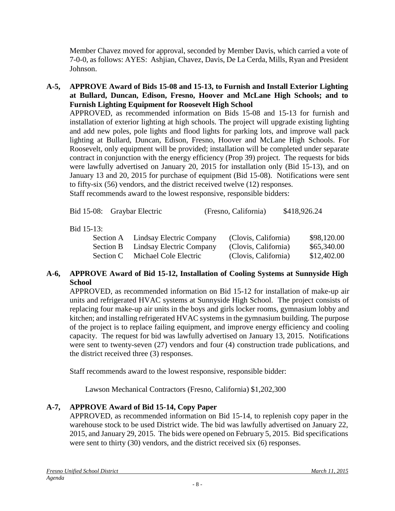Member Chavez moved for approval, seconded by Member Davis, which carried a vote of 7-0-0, as follows: AYES: Ashjian, Chavez, Davis, De La Cerda, Mills, Ryan and President Johnson.

**A-5, APPROVE Award of Bids 15-08 and 15-13, to Furnish and Install Exterior Lighting at Bullard, Duncan, Edison, Fresno, Hoover and McLane High Schools; and to Furnish Lighting Equipment for Roosevelt High School**

APPROVED, as recommended information on Bids 15-08 and 15-13 for furnish and installation of exterior lighting at high schools. The project will upgrade existing lighting and add new poles, pole lights and flood lights for parking lots, and improve wall pack lighting at Bullard, Duncan, Edison, Fresno, Hoover and McLane High Schools. For Roosevelt, only equipment will be provided; installation will be completed under separate contract in conjunction with the energy efficiency (Prop 39) project. The requests for bids were lawfully advertised on January 20, 2015 for installation only (Bid 15-13), and on January 13 and 20, 2015 for purchase of equipment (Bid 15-08). Notifications were sent to fifty-six (56) vendors, and the district received twelve (12) responses. Staff recommends award to the lowest responsive, responsible bidders:

Bid 15-08: Graybar Electric (Fresno, California) \$418,926.24

# Bid 15-13:

|                       | (Clovis, California)                                                     | \$98,120.00 |
|-----------------------|--------------------------------------------------------------------------|-------------|
|                       | (Clovis, California)                                                     | \$65,340.00 |
| Michael Cole Electric | (Clovis, California)                                                     | \$12,402.00 |
|                       | Section A Lindsay Electric Company<br>Section B Lindsay Electric Company |             |

### **A-6, APPROVE Award of Bid 15-12, Installation of Cooling Systems at Sunnyside High School**

APPROVED, as recommended information on Bid 15-12 for installation of make-up air units and refrigerated HVAC systems at Sunnyside High School. The project consists of replacing four make-up air units in the boys and girls locker rooms, gymnasium lobby and kitchen; and installing refrigerated HVAC systems in the gymnasium building. The purpose of the project is to replace failing equipment, and improve energy efficiency and cooling capacity. The request for bid was lawfully advertised on January 13, 2015. Notifications were sent to twenty-seven (27) vendors and four (4) construction trade publications, and the district received three (3) responses.

Staff recommends award to the lowest responsive, responsible bidder:

Lawson Mechanical Contractors (Fresno, California) \$1,202,300

# **A-7, APPROVE Award of Bid 15-14, Copy Paper**

APPROVED, as recommended information on Bid 15-14, to replenish copy paper in the warehouse stock to be used District wide. The bid was lawfully advertised on January 22, 2015, and January 29, 2015. The bids were opened on February 5, 2015. Bid specifications were sent to thirty (30) vendors, and the district received six (6) responses.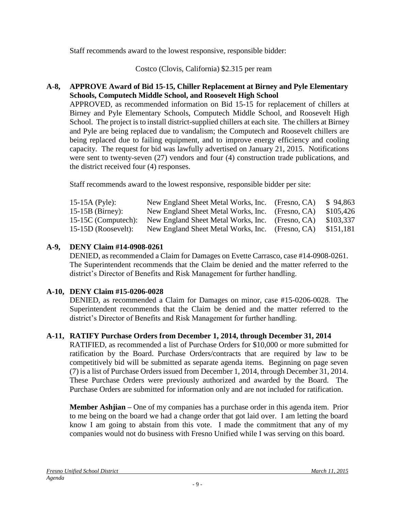Staff recommends award to the lowest responsive, responsible bidder:

Costco (Clovis, California) \$2.315 per ream

### **A-8, APPROVE Award of Bid 15-15, Chiller Replacement at Birney and Pyle Elementary Schools, Computech Middle School, and Roosevelt High School**

APPROVED, as recommended information on Bid 15-15 for replacement of chillers at Birney and Pyle Elementary Schools, Computech Middle School, and Roosevelt High School. The project is to install district-supplied chillers at each site. The chillers at Birney and Pyle are being replaced due to vandalism; the Computech and Roosevelt chillers are being replaced due to failing equipment, and to improve energy efficiency and cooling capacity. The request for bid was lawfully advertised on January 21, 2015. Notifications were sent to twenty-seven (27) vendors and four (4) construction trade publications, and the district received four (4) responses.

Staff recommends award to the lowest responsive, responsible bidder per site:

| 15-15A (Pyle):        | New England Sheet Metal Works, Inc. (Fresno, CA) | \$94,863  |
|-----------------------|--------------------------------------------------|-----------|
| $15-15B$ (Birney):    | New England Sheet Metal Works, Inc. (Fresno, CA) | \$105,426 |
| $15-15C$ (Computech): | New England Sheet Metal Works, Inc. (Fresno, CA) | \$103,337 |
| $15-15D$ (Roosevelt): | New England Sheet Metal Works, Inc. (Fresno, CA) | \$151,181 |

### **A-9, DENY Claim #14-0908-0261**

DENIED, as recommended a Claim for Damages on Evette Carrasco, case #14-0908-0261. The Superintendent recommends that the Claim be denied and the matter referred to the district's Director of Benefits and Risk Management for further handling.

### **A-10, DENY Claim #15-0206-0028**

DENIED, as recommended a Claim for Damages on minor, case #15-0206-0028. The Superintendent recommends that the Claim be denied and the matter referred to the district's Director of Benefits and Risk Management for further handling.

### **A-11, RATIFY Purchase Orders from December 1, 2014, through December 31, 2014**

RATIFIED, as recommended a list of Purchase Orders for \$10,000 or more submitted for ratification by the Board. Purchase Orders/contracts that are required by law to be competitively bid will be submitted as separate agenda items. Beginning on page seven (7) is a list of Purchase Orders issued from December 1, 2014, through December 31, 2014. These Purchase Orders were previously authorized and awarded by the Board. The Purchase Orders are submitted for information only and are not included for ratification.

**Member Ashjian –** One of my companies has a purchase order in this agenda item. Prior to me being on the board we had a change order that got laid over. I am letting the board know I am going to abstain from this vote. I made the commitment that any of my companies would not do business with Fresno Unified while I was serving on this board.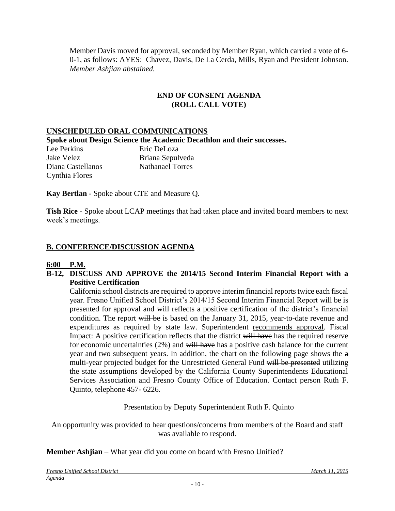Member Davis moved for approval, seconded by Member Ryan, which carried a vote of 6- 0-1, as follows: AYES: Chavez, Davis, De La Cerda, Mills, Ryan and President Johnson. *Member Ashjian abstained.*

#### **END OF CONSENT AGENDA (ROLL CALL VOTE)**

#### **UNSCHEDULED ORAL COMMUNICATIONS**

**Spoke about Design Science the Academic Decathlon and their successes.**

Lee Perkins Eric DeLoza Jake Velez Briana Sepulveda Diana Castellanos Nathanael Torres Cynthia Flores

**Kay Bertlan** - Spoke about CTE and Measure Q.

**Tish Rice** - Spoke about LCAP meetings that had taken place and invited board members to next week's meetings.

#### **B. CONFERENCE/DISCUSSION AGENDA**

#### **6:00 P.M.**

#### **B-12, DISCUSS AND APPROVE the 2014/15 Second Interim Financial Report with a Positive Certification**

California school districts are required to approve interim financial reports twice each fiscal year. Fresno Unified School District's 2014/15 Second Interim Financial Report will be is presented for approval and will reflects a positive certification of the district's financial condition. The report will be is based on the January 31, 2015, year-to-date revenue and expenditures as required by state law. Superintendent recommends approval. Fiscal Impact: A positive certification reflects that the district will have has the required reserve for economic uncertainties (2%) and will have has a positive cash balance for the current year and two subsequent years. In addition, the chart on the following page shows the a multi-year projected budget for the Unrestricted General Fund will be presented utilizing the state assumptions developed by the California County Superintendents Educational Services Association and Fresno County Office of Education. Contact person Ruth F. Quinto, telephone 457- 6226.

Presentation by Deputy Superintendent Ruth F. Quinto

An opportunity was provided to hear questions/concerns from members of the Board and staff was available to respond.

**Member Ashjian** – What year did you come on board with Fresno Unified?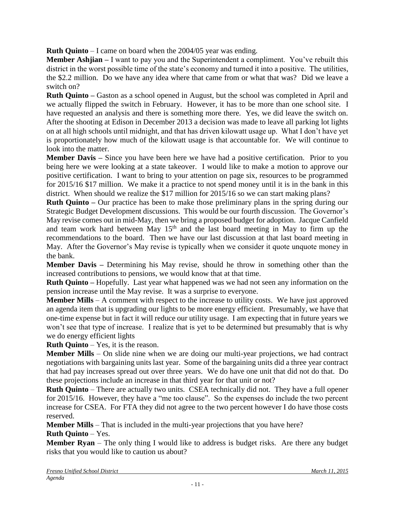**Ruth Quinto** – I came on board when the 2004/05 year was ending.

**Member Ashjian –** I want to pay you and the Superintendent a compliment. You've rebuilt this district in the worst possible time of the state's economy and turned it into a positive. The utilities, the \$2.2 million. Do we have any idea where that came from or what that was? Did we leave a switch on?

**Ruth Quinto –** Gaston as a school opened in August, but the school was completed in April and we actually flipped the switch in February. However, it has to be more than one school site. I have requested an analysis and there is something more there. Yes, we did leave the switch on. After the shooting at Edison in December 2013 a decision was made to leave all parking lot lights on at all high schools until midnight, and that has driven kilowatt usage up. What I don't have yet is proportionately how much of the kilowatt usage is that accountable for. We will continue to look into the matter.

**Member Davis** – Since you have been here we have had a positive certification. Prior to you being here we were looking at a state takeover. I would like to make a motion to approve our positive certification. I want to bring to your attention on page six, resources to be programmed for 2015/16 \$17 million. We make it a practice to not spend money until it is in the bank in this district. When should we realize the \$17 million for 2015/16 so we can start making plans?

**Ruth Quinto** – Our practice has been to make those preliminary plans in the spring during our Strategic Budget Development discussions. This would be our fourth discussion. The Governor's May revise comes out in mid-May, then we bring a proposed budget for adoption. Jacque Canfield and team work hard between May  $15<sup>th</sup>$  and the last board meeting in May to firm up the recommendations to the board. Then we have our last discussion at that last board meeting in May. After the Governor's May revise is typically when we consider it quote unquote money in the bank.

**Member Davis –** Determining his May revise, should he throw in something other than the increased contributions to pensions, we would know that at that time.

**Ruth Quinto –** Hopefully. Last year what happened was we had not seen any information on the pension increase until the May revise. It was a surprise to everyone.

**Member Mills** – A comment with respect to the increase to utility costs. We have just approved an agenda item that is upgrading our lights to be more energy efficient. Presumably, we have that one-time expense but in fact it will reduce our utility usage. I am expecting that in future years we won't see that type of increase. I realize that is yet to be determined but presumably that is why we do energy efficient lights

**Ruth Quinto** – Yes, it is the reason.

**Member Mills** – On slide nine when we are doing our multi-year projections, we had contract negotiations with bargaining units last year. Some of the bargaining units did a three year contract that had pay increases spread out over three years. We do have one unit that did not do that. Do these projections include an increase in that third year for that unit or not?

**Ruth Quinto** – There are actually two units. CSEA technically did not. They have a full opener for 2015/16. However, they have a "me too clause". So the expenses do include the two percent increase for CSEA. For FTA they did not agree to the two percent however I do have those costs reserved.

**Member Mills** – That is included in the multi-year projections that you have here?

**Ruth Quinto** – Yes.

**Member Ryan** – The only thing I would like to address is budget risks. Are there any budget risks that you would like to caution us about?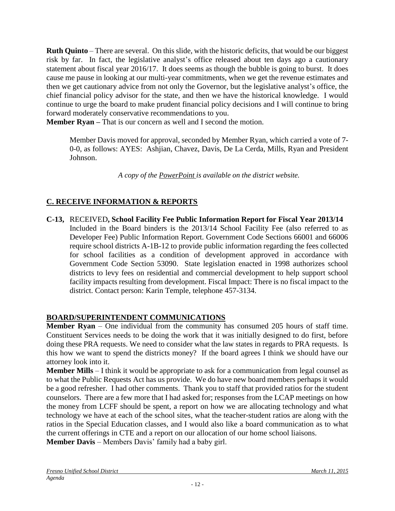**Ruth Quinto** – There are several. On this slide, with the historic deficits, that would be our biggest risk by far. In fact, the legislative analyst's office released about ten days ago a cautionary statement about fiscal year 2016/17. It does seems as though the bubble is going to burst. It does cause me pause in looking at our multi-year commitments, when we get the revenue estimates and then we get cautionary advice from not only the Governor, but the legislative analyst's office, the chief financial policy advisor for the state, and then we have the historical knowledge. I would continue to urge the board to make prudent financial policy decisions and I will continue to bring forward moderately conservative recommendations to you.

**Member Ryan –** That is our concern as well and I second the motion.

Member Davis moved for approval, seconded by Member Ryan, which carried a vote of 7- 0-0, as follows: AYES: Ashjian, Chavez, Davis, De La Cerda, Mills, Ryan and President Johnson.

*A copy of the PowerPoint is available on the district website.* 

# **C. RECEIVE INFORMATION & REPORTS**

**C-13,** RECEIVED**, School Facility Fee Public Information Report for Fiscal Year 2013/14** Included in the Board binders is the 2013/14 School Facility Fee (also referred to as Developer Fee) Public Information Report. Government Code Sections 66001 and 66006 require school districts A-1B-12 to provide public information regarding the fees collected for school facilities as a condition of development approved in accordance with Government Code Section 53090. State legislation enacted in 1998 authorizes school districts to levy fees on residential and commercial development to help support school facility impacts resulting from development. Fiscal Impact: There is no fiscal impact to the district. Contact person: Karin Temple, telephone 457-3134.

### **BOARD/SUPERINTENDENT COMMUNICATIONS**

**Member Ryan** – One individual from the community has consumed 205 hours of staff time. Constituent Services needs to be doing the work that it was initially designed to do first, before doing these PRA requests. We need to consider what the law states in regards to PRA requests. Is this how we want to spend the districts money? If the board agrees I think we should have our attorney look into it.

**Member Mills** – I think it would be appropriate to ask for a communication from legal counsel as to what the Public Requests Act has us provide. We do have new board members perhaps it would be a good refresher. I had other comments. Thank you to staff that provided ratios for the student counselors. There are a few more that I had asked for; responses from the LCAP meetings on how the money from LCFF should be spent, a report on how we are allocating technology and what technology we have at each of the school sites, what the teacher-student ratios are along with the ratios in the Special Education classes, and I would also like a board communication as to what the current offerings in CTE and a report on our allocation of our home school liaisons.

**Member Davis** – Members Davis' family had a baby girl.